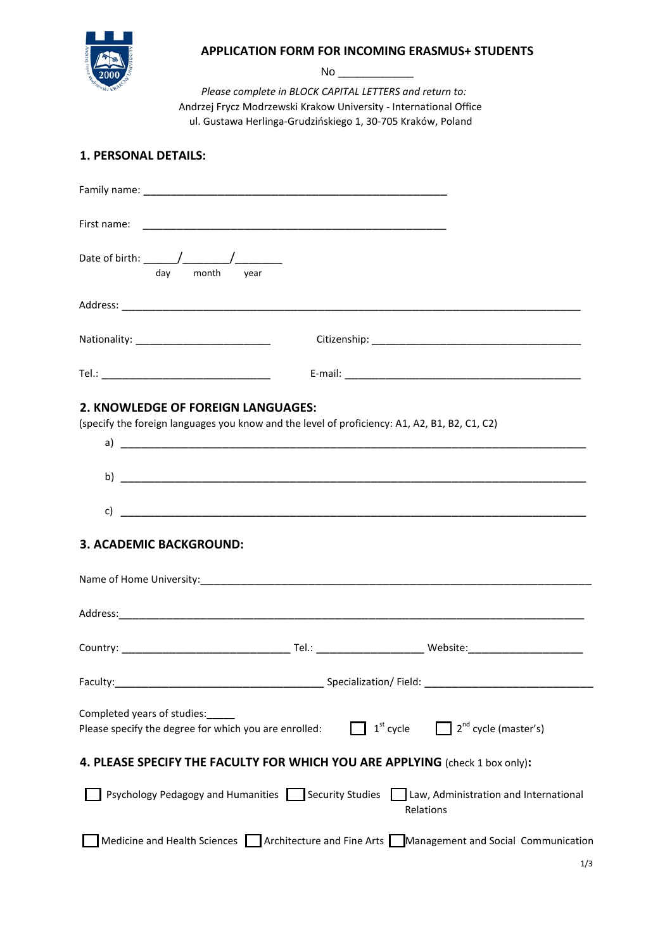

## **APPLICATION FORM FOR INCOMING ERASMUS+ STUDENTS**

No \_\_\_\_\_\_\_\_\_\_\_\_

 *Please complete in BLOCK CAPITAL LETTERS and return to:* Andrzej Frycz Modrzewski Krakow University - International Office ul. Gustawa Herlinga-Grudzińskiego 1, 30-705 Kraków, Poland

# **1. PERSONAL DETAILS:**

| day month                                                                                                                           | year |             |                                                                                                 |
|-------------------------------------------------------------------------------------------------------------------------------------|------|-------------|-------------------------------------------------------------------------------------------------|
|                                                                                                                                     |      |             |                                                                                                 |
|                                                                                                                                     |      |             |                                                                                                 |
|                                                                                                                                     |      |             |                                                                                                 |
| 2. KNOWLEDGE OF FOREIGN LANGUAGES:<br>(specify the foreign languages you know and the level of proficiency: A1, A2, B1, B2, C1, C2) |      |             |                                                                                                 |
|                                                                                                                                     |      |             |                                                                                                 |
|                                                                                                                                     |      |             |                                                                                                 |
| <b>3. ACADEMIC BACKGROUND:</b>                                                                                                      |      |             |                                                                                                 |
|                                                                                                                                     |      |             |                                                                                                 |
|                                                                                                                                     |      |             |                                                                                                 |
|                                                                                                                                     |      |             |                                                                                                 |
|                                                                                                                                     |      |             |                                                                                                 |
| Completed years of studies:<br>Please specify the degree for which you are enrolled:                                                |      | $1st$ cycle | $\Box$ 2 <sup>nd</sup> cycle (master's)                                                         |
| 4. PLEASE SPECIFY THE FACULTY FOR WHICH YOU ARE APPLYING (check 1 box only):                                                        |      |             |                                                                                                 |
| Psychology Pedagogy and Humanities Security Studies                                                                                 |      |             | Law, Administration and International<br>Relations                                              |
|                                                                                                                                     |      |             | Medicine and Health Sciences   Architecture and Fine Arts   Management and Social Communication |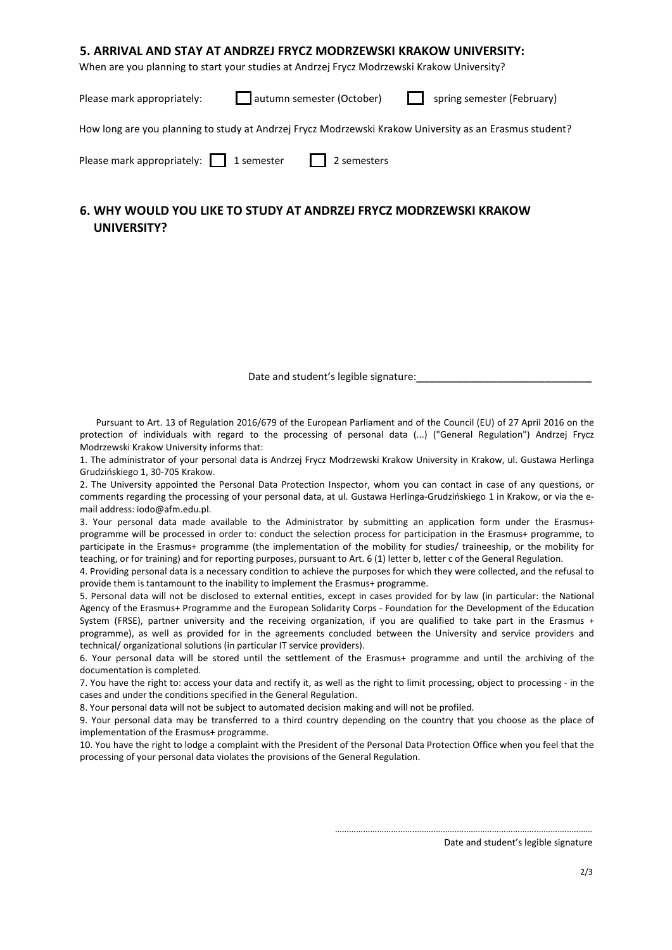## **5. ARRIVAL AND STAY AT ANDRZEJ FRYCZ MODRZEWSKI KRAKOW UNIVERSITY:**

When are you planning to start your studies at Andrzej Frycz Modrzewski Krakow University?

Please mark appropriately: **a**utumn semester (October) spring semester (February)

How long are you planning to study at Andrzej Frycz Modrzewski Krakow University as an Erasmus student?

Please mark appropriately:  $\Box$  1 semester  $\Box$  2 semesters

## **6. WHY WOULD YOU LIKE TO STUDY AT ANDRZEJ FRYCZ MODRZEWSKI KRAKOW UNIVERSITY?**

Date and student's legible signature:

 Pursuant to Art. 13 of Regulation 2016/679 of the European Parliament and of the Council (EU) of 27 April 2016 on the protection of individuals with regard to the processing of personal data (...) ("General Regulation") Andrzej Frycz Modrzewski Krakow University informs that:

1. The administrator of your personal data is Andrzej Frycz Modrzewski Krakow University in Krakow, ul. Gustawa Herlinga Grudzińskiego 1, 30-705 Krakow.

2. The University appointed the Personal Data Protection Inspector, whom you can contact in case of any questions, or comments regarding the processing of your personal data, at ul. Gustawa Herlinga-Grudzińskiego 1 in Krakow, or via the email address: iodo@afm.edu.pl.

3. Your personal data made available to the Administrator by submitting an application form under the Erasmus+ programme will be processed in order to: conduct the selection process for participation in the Erasmus+ programme, to participate in the Erasmus+ programme (the implementation of the mobility for studies/ traineeship, or the mobility for teaching, or for training) and for reporting purposes, pursuant to Art. 6 (1) letter b, letter c of the General Regulation.

4. Providing personal data is a necessary condition to achieve the purposes for which they were collected, and the refusal to provide them is tantamount to the inability to implement the Erasmus+ programme.

5. Personal data will not be disclosed to external entities, except in cases provided for by law (in particular: the National Agency of the Erasmus+ Programme and the European Solidarity Corps - Foundation for the Development of the Education System (FRSE), partner university and the receiving organization, if you are qualified to take part in the Erasmus + programme), as well as provided for in the agreements concluded between the University and service providers and technical/ organizational solutions (in particular IT service providers).

6. Your personal data will be stored until the settlement of the Erasmus+ programme and until the archiving of the documentation is completed.

7. You have the right to: access your data and rectify it, as well as the right to limit processing, object to processing - in the cases and under the conditions specified in the General Regulation.

8. Your personal data will not be subject to automated decision making and will not be profiled.

9. Your personal data may be transferred to a third country depending on the country that you choose as the place of implementation of the Erasmus+ programme.

10. You have the right to lodge a complaint with the President of the Personal Data Protection Office when you feel that the processing of your personal data violates the provisions of the General Regulation.

#### Date and student's legible signature

…………………………….…………………………………………….……………………